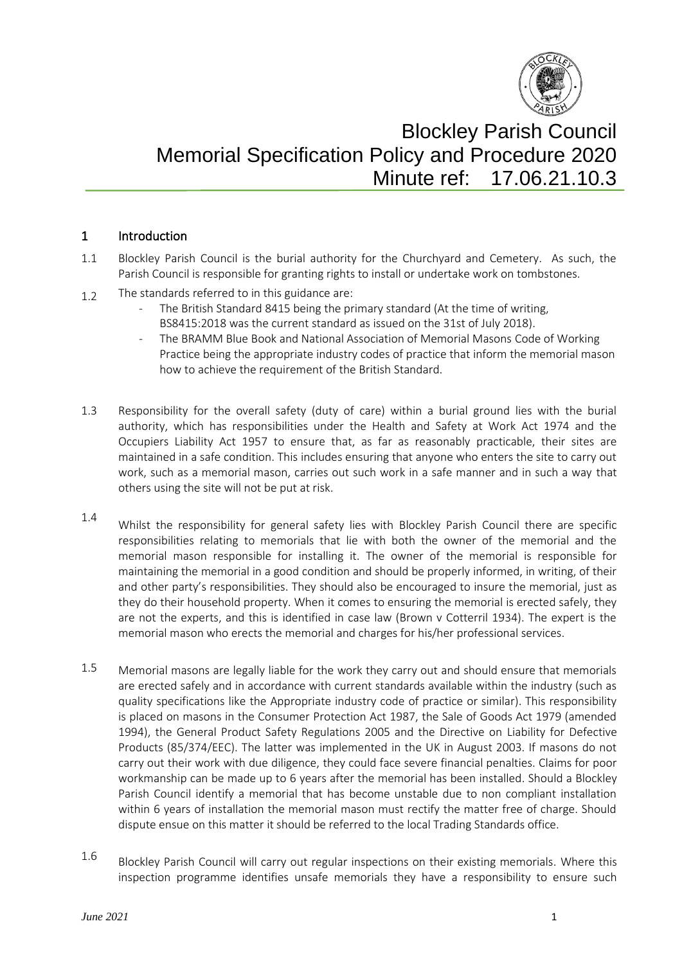

# Blockley Parish Council Memorial Specification Policy and Procedure 2020 Minute ref: 17.06.21.10.3

#### 1 Introduction

- 1.1 Blockley Parish Council is the burial authority for the Churchyard and Cemetery. As such, the Parish Council is responsible for granting rights to install or undertake work on tombstones.
- 1.2 The standards referred to in this guidance are:
	- The British Standard 8415 being the primary standard (At the time of writing, BS8415:2018 was the current standard as issued on the 31st of July 2018).
	- The BRAMM Blue Book and National Association of Memorial Masons Code of Working Practice being the appropriate industry codes of practice that inform the memorial mason how to achieve the requirement of the British Standard.
- 1.3 Responsibility for the overall safety (duty of care) within a burial ground lies with the burial authority, which has responsibilities under the Health and Safety at Work Act 1974 and the Occupiers Liability Act 1957 to ensure that, as far as reasonably practicable, their sites are maintained in a safe condition. This includes ensuring that anyone who enters the site to carry out work, such as a memorial mason, carries out such work in a safe manner and in such a way that others using the site will not be put at risk.
- 1.4 Whilst the responsibility for general safety lies with Blockley Parish Council there are specific responsibilities relating to memorials that lie with both the owner of the memorial and the memorial mason responsible for installing it. The owner of the memorial is responsible for maintaining the memorial in a good condition and should be properly informed, in writing, of their and other party's responsibilities. They should also be encouraged to insure the memorial, just as they do their household property. When it comes to ensuring the memorial is erected safely, they are not the experts, and this is identified in case law (Brown v Cotterril 1934). The expert is the memorial mason who erects the memorial and charges for his/her professional services.
- 1.5 Memorial masons are legally liable for the work they carry out and should ensure that memorials are erected safely and in accordance with current standards available within the industry (such as quality specifications like the Appropriate industry code of practice or similar). This responsibility is placed on masons in the Consumer Protection Act 1987, the Sale of Goods Act 1979 (amended 1994), the General Product Safety Regulations 2005 and the Directive on Liability for Defective Products (85/374/EEC). The latter was implemented in the UK in August 2003. If masons do not carry out their work with due diligence, they could face severe financial penalties. Claims for poor workmanship can be made up to 6 years after the memorial has been installed. Should a Blockley Parish Council identify a memorial that has become unstable due to non compliant installation within 6 years of installation the memorial mason must rectify the matter free of charge. Should dispute ensue on this matter it should be referred to the local Trading Standards office.
- 1.6 Blockley Parish Council will carry out regular inspections on their existing memorials. Where this inspection programme identifies unsafe memorials they have a responsibility to ensure such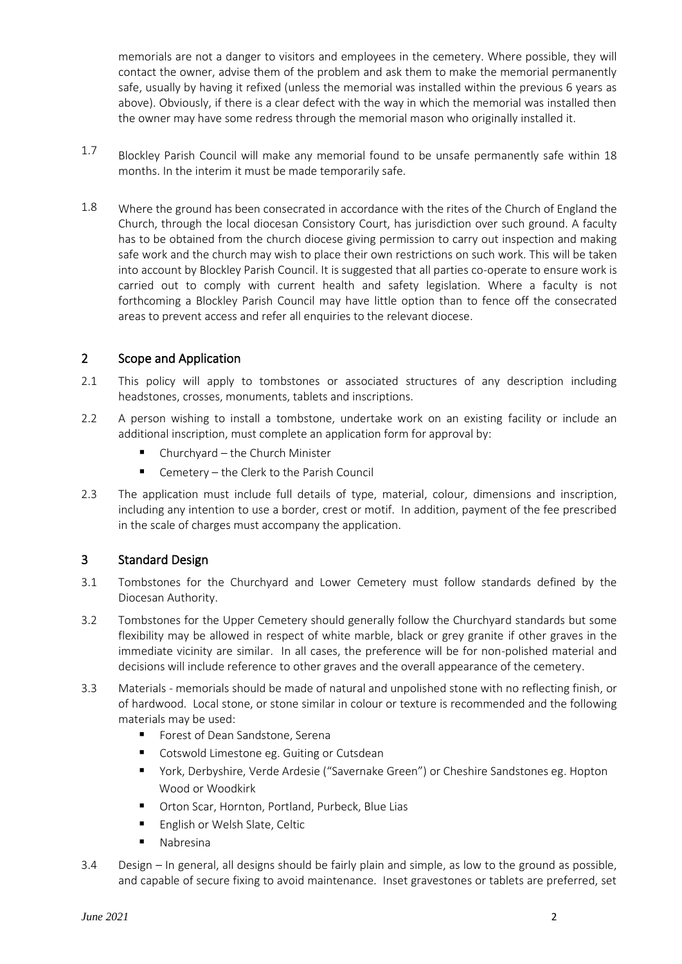memorials are not a danger to visitors and employees in the cemetery. Where possible, they will contact the owner, advise them of the problem and ask them to make the memorial permanently safe, usually by having it refixed (unless the memorial was installed within the previous 6 years as above). Obviously, if there is a clear defect with the way in which the memorial was installed then the owner may have some redress through the memorial mason who originally installed it.

- 1.7 Blockley Parish Council will make any memorial found to be unsafe permanently safe within 18 months. In the interim it must be made temporarily safe.
- 1.8 Where the ground has been consecrated in accordance with the rites of the Church of England the Church, through the local diocesan Consistory Court, has jurisdiction over such ground. A faculty has to be obtained from the church diocese giving permission to carry out inspection and making safe work and the church may wish to place their own restrictions on such work. This will be taken into account by Blockley Parish Council. It is suggested that all parties co-operate to ensure work is carried out to comply with current health and safety legislation. Where a faculty is not forthcoming a Blockley Parish Council may have little option than to fence off the consecrated areas to prevent access and refer all enquiries to the relevant diocese.

### 2 Scope and Application

- 2.1 This policy will apply to tombstones or associated structures of any description including headstones, crosses, monuments, tablets and inscriptions.
- 2.2 A person wishing to install a tombstone, undertake work on an existing facility or include an additional inscription, must complete an application form for approval by:
	- Churchyard the Church Minister
	- Cemetery the Clerk to the Parish Council
- 2.3 The application must include full details of type, material, colour, dimensions and inscription, including any intention to use a border, crest or motif. In addition, payment of the fee prescribed in the scale of charges must accompany the application.

#### 3 Standard Design

- 3.1 Tombstones for the Churchyard and Lower Cemetery must follow standards defined by the Diocesan Authority.
- 3.2 Tombstones for the Upper Cemetery should generally follow the Churchyard standards but some flexibility may be allowed in respect of white marble, black or grey granite if other graves in the immediate vicinity are similar. In all cases, the preference will be for non-polished material and decisions will include reference to other graves and the overall appearance of the cemetery.
- 3.3 Materials memorials should be made of natural and unpolished stone with no reflecting finish, or of hardwood. Local stone, or stone similar in colour or texture is recommended and the following materials may be used:
	- Forest of Dean Sandstone, Serena
	- Cotswold Limestone eg. Guiting or Cutsdean
	- York, Derbyshire, Verde Ardesie ("Savernake Green") or Cheshire Sandstones eg. Hopton Wood or Woodkirk
	- Orton Scar, Hornton, Portland, Purbeck, Blue Lias
	- English or Welsh Slate, Celtic
	- Nabresina
- 3.4 Design In general, all designs should be fairly plain and simple, as low to the ground as possible, and capable of secure fixing to avoid maintenance. Inset gravestones or tablets are preferred, set